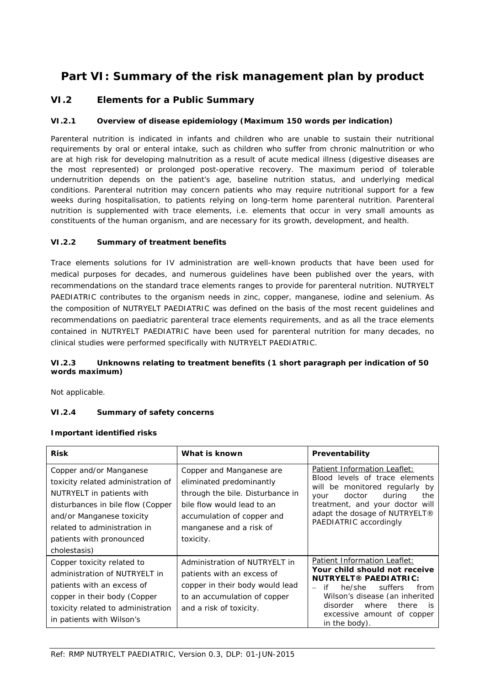# **Part VI: Summary of the risk management plan by product**

## **VI.2 Elements for a Public Summary**

#### *VI.2.1 Overview of disease epidemiology (Maximum 150 words per indication)*

Parenteral nutrition is indicated in infants and children who are unable to sustain their nutritional requirements by oral or enteral intake, such as children who suffer from chronic malnutrition or who are at high risk for developing malnutrition as a result of acute medical illness (digestive diseases are the most represented) or prolonged post-operative recovery. The maximum period of tolerable undernutrition depends on the patient's age, baseline nutrition status, and underlying medical conditions. Parenteral nutrition may concern patients who may require nutritional support for a few weeks during hospitalisation, to patients relying on long-term home parenteral nutrition. Parenteral nutrition is supplemented with trace elements, i.e. elements that occur in very small amounts as constituents of the human organism, and are necessary for its growth, development, and health.

#### *VI.2.2 Summary of treatment benefits*

Trace elements solutions for IV administration are well-known products that have been used for medical purposes for decades, and numerous guidelines have been published over the years, with recommendations on the standard trace elements ranges to provide for parenteral nutrition. NUTRYELT PAEDIATRIC contributes to the organism needs in zinc, copper, manganese, iodine and selenium. As the composition of NUTRYELT PAEDIATRIC was defined on the basis of the most recent guidelines and recommendations on paediatric parenteral trace elements requirements, and as all the trace elements contained in NUTRYELT PAEDIATRIC have been used for parenteral nutrition for many decades, no clinical studies were performed specifically with NUTRYELT PAEDIATRIC.

### *VI.2.3 Unknowns relating to treatment benefits (1 short paragraph per indication of 50 words maximum)*

Not applicable.

## *VI.2.4 Summary of safety concerns*

#### **Important identified risks**

| <b>Risk</b>                                                                                                                                                                                                                              | What is known                                                                                                                                                                                | Preventability                                                                                                                                                                                                                                                     |
|------------------------------------------------------------------------------------------------------------------------------------------------------------------------------------------------------------------------------------------|----------------------------------------------------------------------------------------------------------------------------------------------------------------------------------------------|--------------------------------------------------------------------------------------------------------------------------------------------------------------------------------------------------------------------------------------------------------------------|
| Copper and/or Manganese<br>toxicity related administration of<br>NUTRYELT in patients with<br>disturbances in bile flow (Copper<br>and/or Manganese toxicity<br>related to administration in<br>patients with pronounced<br>cholestasis) | Copper and Manganese are<br>eliminated predominantly<br>through the bile. Disturbance in<br>bile flow would lead to an<br>accumulation of copper and<br>manganese and a risk of<br>toxicity. | Patient Information Leaflet:<br>Blood levels of trace elements<br>will be monitored regularly by<br>during<br>doctor<br>the<br>your<br>treatment, and your doctor will<br>adapt the dosage of NUTRYELT®<br>PAEDIATRIC accordingly                                  |
| Copper toxicity related to<br>administration of NUTRYELT in<br>patients with an excess of<br>copper in their body (Copper<br>toxicity related to administration<br>in patients with Wilson's                                             | Administration of NUTRYELT in<br>patients with an excess of<br>copper in their body would lead<br>to an accumulation of copper<br>and a risk of toxicity.                                    | Patient Information Leaflet:<br>Your child should not receive<br><b>NUTRYELT® PAEDIATRIC:</b><br>suffers<br>he/she<br>if<br>from<br>$\equiv$<br>Wilson's disease (an inherited<br>disorder<br>where<br>there<br>is.<br>excessive amount of copper<br>in the body). |